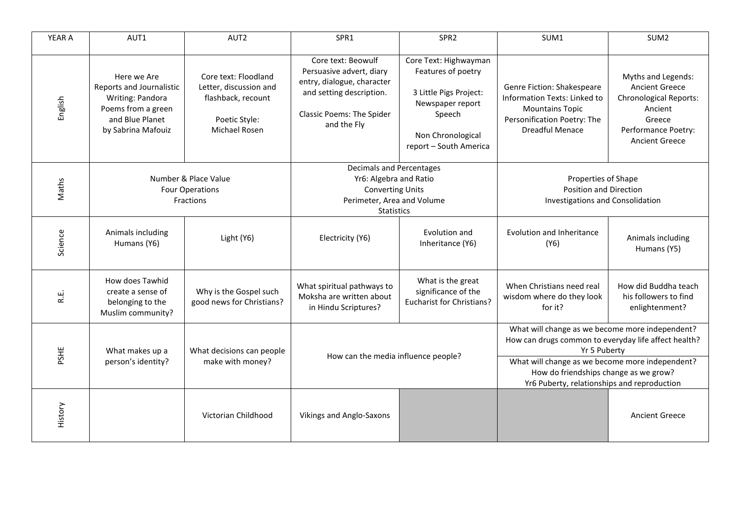| YEAR A  | AUT1                                                                                                                       | AUT2                                                                                                          | SPR1                                                                                                                                                        | SPR <sub>2</sub>                                                                                                                                   | SUM1                                                                                                                                                                                                                                                               | SUM <sub>2</sub>                                                                                                                                  |
|---------|----------------------------------------------------------------------------------------------------------------------------|---------------------------------------------------------------------------------------------------------------|-------------------------------------------------------------------------------------------------------------------------------------------------------------|----------------------------------------------------------------------------------------------------------------------------------------------------|--------------------------------------------------------------------------------------------------------------------------------------------------------------------------------------------------------------------------------------------------------------------|---------------------------------------------------------------------------------------------------------------------------------------------------|
| English | Here we Are<br>Reports and Journalistic<br>Writing: Pandora<br>Poems from a green<br>and Blue Planet<br>by Sabrina Mafouiz | Core text: Floodland<br>Letter, discussion and<br>flashback, recount<br>Poetic Style:<br><b>Michael Rosen</b> | Core text: Beowulf<br>Persuasive advert, diary<br>entry, dialogue, character<br>and setting description.<br><b>Classic Poems: The Spider</b><br>and the Fly | Core Text: Highwayman<br>Features of poetry<br>3 Little Pigs Project:<br>Newspaper report<br>Speech<br>Non Chronological<br>report - South America | Genre Fiction: Shakespeare<br>Information Texts: Linked to<br><b>Mountains Topic</b><br>Personification Poetry: The<br><b>Dreadful Menace</b>                                                                                                                      | Myths and Legends:<br><b>Ancient Greece</b><br><b>Chronological Reports:</b><br>Ancient<br>Greece<br>Performance Poetry:<br><b>Ancient Greece</b> |
| Maths   | Number & Place Value<br><b>Four Operations</b><br>Fractions                                                                |                                                                                                               | Decimals and Percentages<br>Yr6: Algebra and Ratio<br><b>Converting Units</b><br>Perimeter, Area and Volume<br><b>Statistics</b>                            |                                                                                                                                                    | Properties of Shape<br><b>Position and Direction</b><br><b>Investigations and Consolidation</b>                                                                                                                                                                    |                                                                                                                                                   |
| Science | Animals including<br>Humans (Y6)                                                                                           | Light (Y6)                                                                                                    | Electricity (Y6)                                                                                                                                            | Evolution and<br>Inheritance (Y6)                                                                                                                  | <b>Evolution and Inheritance</b><br>(Y6)                                                                                                                                                                                                                           | Animals including<br>Humans (Y5)                                                                                                                  |
| R.E.    | How does Tawhid<br>create a sense of<br>belonging to the<br>Muslim community?                                              | Why is the Gospel such<br>good news for Christians?                                                           | What spiritual pathways to<br>Moksha are written about<br>in Hindu Scriptures?                                                                              | What is the great<br>significance of the<br><b>Eucharist for Christians?</b>                                                                       | When Christians need real<br>wisdom where do they look<br>for it?                                                                                                                                                                                                  | How did Buddha teach<br>his followers to find<br>enlightenment?                                                                                   |
| PSHE    | What makes up a<br>person's identity?                                                                                      | What decisions can people<br>make with money?                                                                 | How can the media influence people?                                                                                                                         |                                                                                                                                                    | What will change as we become more independent?<br>How can drugs common to everyday life affect health?<br>Yr 5 Puberty<br>What will change as we become more independent?<br>How do friendships change as we grow?<br>Yr6 Puberty, relationships and reproduction |                                                                                                                                                   |
| History |                                                                                                                            | Victorian Childhood                                                                                           | Vikings and Anglo-Saxons                                                                                                                                    |                                                                                                                                                    |                                                                                                                                                                                                                                                                    | <b>Ancient Greece</b>                                                                                                                             |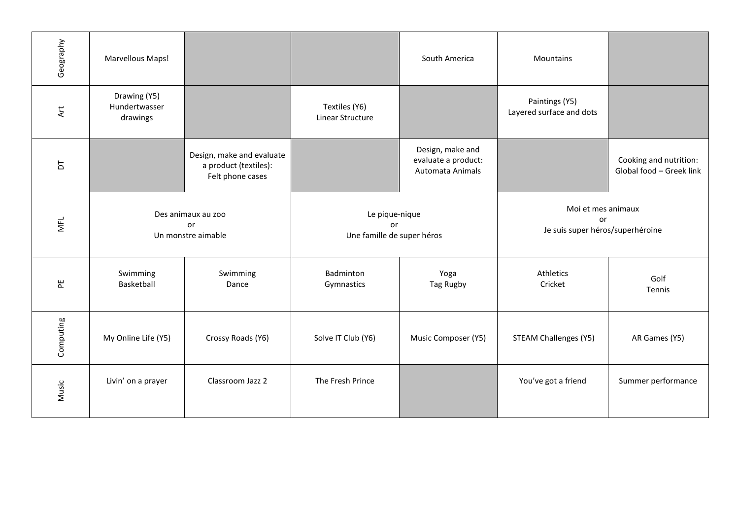| Geography  | Marvellous Maps!                               |                                                                        |                                                    | South America                                               | Mountains                                                    |                                                    |
|------------|------------------------------------------------|------------------------------------------------------------------------|----------------------------------------------------|-------------------------------------------------------------|--------------------------------------------------------------|----------------------------------------------------|
| Art        | Drawing (Y5)<br>Hundertwasser<br>drawings      |                                                                        | Textiles (Y6)<br>Linear Structure                  |                                                             | Paintings (Y5)<br>Layered surface and dots                   |                                                    |
| 5          |                                                | Design, make and evaluate<br>a product (textiles):<br>Felt phone cases |                                                    | Design, make and<br>evaluate a product:<br>Automata Animals |                                                              | Cooking and nutrition:<br>Global food - Greek link |
| <b>MFL</b> | Des animaux au zoo<br>or<br>Un monstre aimable |                                                                        | Le pique-nique<br>or<br>Une famille de super héros |                                                             | Moi et mes animaux<br>or<br>Je suis super héros/superhéroine |                                                    |
| 뿐          | Swimming<br>Basketball                         | Swimming<br>Dance                                                      | Badminton<br>Gymnastics                            | Yoga<br>Tag Rugby                                           | Athletics<br>Cricket                                         | Golf<br>Tennis                                     |
| Computing  | My Online Life (Y5)                            | Crossy Roads (Y6)                                                      | Solve IT Club (Y6)                                 | Music Composer (Y5)                                         | <b>STEAM Challenges (Y5)</b>                                 | AR Games (Y5)                                      |
| Music      | Livin' on a prayer                             | Classroom Jazz 2                                                       | The Fresh Prince                                   |                                                             | You've got a friend                                          | Summer performance                                 |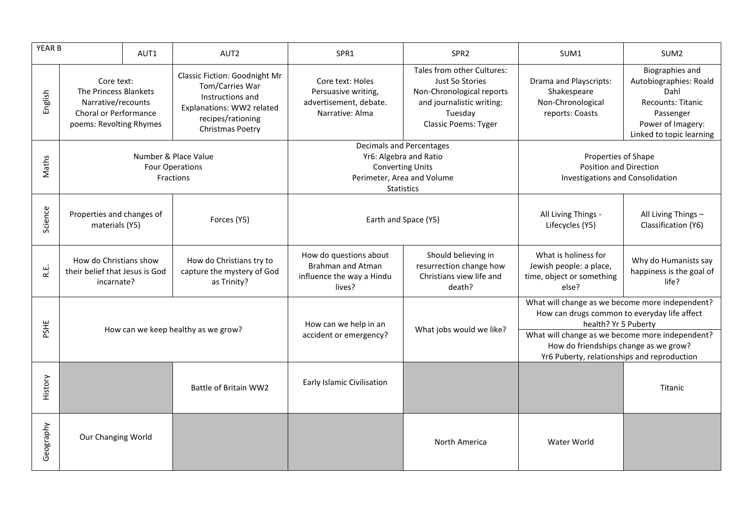| YEAR B    |                                                                                                               | AUT1 | AUT2                                                                                                                                       | SPR1                                                                                      | SPR <sub>2</sub>                                                                                                                                                                                                                                                   | SUM1                                                                                  | SUM <sub>2</sub>                                                                                                                                   |
|-----------|---------------------------------------------------------------------------------------------------------------|------|--------------------------------------------------------------------------------------------------------------------------------------------|-------------------------------------------------------------------------------------------|--------------------------------------------------------------------------------------------------------------------------------------------------------------------------------------------------------------------------------------------------------------------|---------------------------------------------------------------------------------------|----------------------------------------------------------------------------------------------------------------------------------------------------|
| English   | Core text:<br>The Princess Blankets<br>Narrative/recounts<br>Choral or Performance<br>poems: Revolting Rhymes |      | Classic Fiction: Goodnight Mr<br>Tom/Carries War<br>Instructions and<br>Explanations: WW2 related<br>recipes/rationing<br>Christmas Poetry | Core text: Holes<br>Persuasive writing,<br>advertisement, debate.<br>Narrative: Alma      | Tales from other Cultures:<br>Just So Stories<br>Non-Chronological reports<br>and journalistic writing:<br>Tuesday<br>Classic Poems: Tyger                                                                                                                         | Drama and Playscripts:<br>Shakespeare<br>Non-Chronological<br>reports: Coasts         | <b>Biographies and</b><br>Autobiographies: Roald<br>Dahl<br><b>Recounts: Titanic</b><br>Passenger<br>Power of Imagery:<br>Linked to topic learning |
| Maths     | Number & Place Value<br><b>Four Operations</b><br><b>Fractions</b>                                            |      | Decimals and Percentages<br>Yr6: Algebra and Ratio<br><b>Converting Units</b><br>Perimeter, Area and Volume<br><b>Statistics</b>           |                                                                                           | Properties of Shape<br><b>Position and Direction</b><br><b>Investigations and Consolidation</b>                                                                                                                                                                    |                                                                                       |                                                                                                                                                    |
| Science   | Properties and changes of<br>materials (Y5)                                                                   |      | Forces (Y5)                                                                                                                                | Earth and Space (Y5)                                                                      |                                                                                                                                                                                                                                                                    | All Living Things -<br>Lifecycles (Y5)                                                | All Living Things -<br>Classification (Y6)                                                                                                         |
| نيا<br>غ  | How do Christians show<br>their belief that Jesus is God<br>incarnate?                                        |      | How do Christians try to<br>capture the mystery of God<br>as Trinity?                                                                      | How do questions about<br><b>Brahman and Atman</b><br>influence the way a Hindu<br>lives? | Should believing in<br>resurrection change how<br>Christians view life and<br>death?                                                                                                                                                                               | What is holiness for<br>Jewish people: a place,<br>time, object or something<br>else? | Why do Humanists say<br>happiness is the goal of<br>life?                                                                                          |
| PSHE      | How can we keep healthy as we grow?                                                                           |      | How can we help in an<br>accident or emergency?                                                                                            | What jobs would we like?                                                                  | What will change as we become more independent?<br>How can drugs common to everyday life affect<br>health? Yr 5 Puberty<br>What will change as we become more independent?<br>How do friendships change as we grow?<br>Yr6 Puberty, relationships and reproduction |                                                                                       |                                                                                                                                                    |
| History   |                                                                                                               |      | Battle of Britain WW2                                                                                                                      | Early Islamic Civilisation                                                                |                                                                                                                                                                                                                                                                    |                                                                                       | Titanic                                                                                                                                            |
| Geography | Our Changing World                                                                                            |      |                                                                                                                                            |                                                                                           | North America                                                                                                                                                                                                                                                      | Water World                                                                           |                                                                                                                                                    |